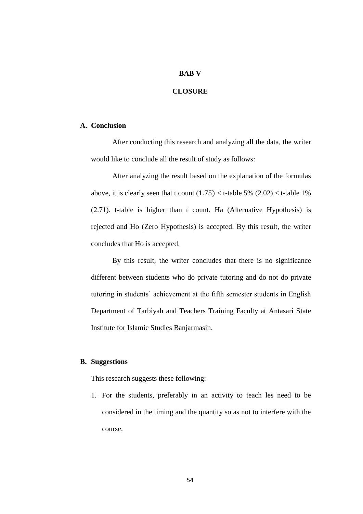## **BAB V**

## **CLOSURE**

## **A. Conclusion**

After conducting this research and analyzing all the data, the writer would like to conclude all the result of study as follows:

After analyzing the result based on the explanation of the formulas above, it is clearly seen that t count  $(1.75) <$  t-table 5%  $(2.02) <$  t-table 1% (2.71). t-table is higher than t count. Ha (Alternative Hypothesis) is rejected and Ho (Zero Hypothesis) is accepted. By this result, the writer concludes that Ho is accepted.

By this result, the writer concludes that there is no significance different between students who do private tutoring and do not do private tutoring in students' achievement at the fifth semester students in English Department of Tarbiyah and Teachers Training Faculty at Antasari State Institute for Islamic Studies Banjarmasin.

## **B. Suggestions**

This research suggests these following:

1. For the students, preferably in an activity to teach les need to be considered in the timing and the quantity so as not to interfere with the course.